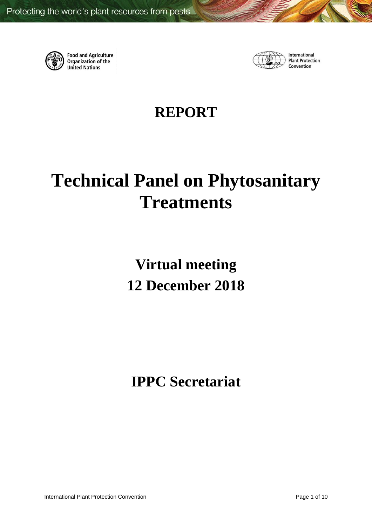

**Food and Agriculture**<br>Organization of the **United Nations** 



International **Plant Protection** Convention

# **REPORT**

# **Technical Panel on Phytosanitary Treatments**

**Virtual meeting 12 December 2018**

**IPPC Secretariat**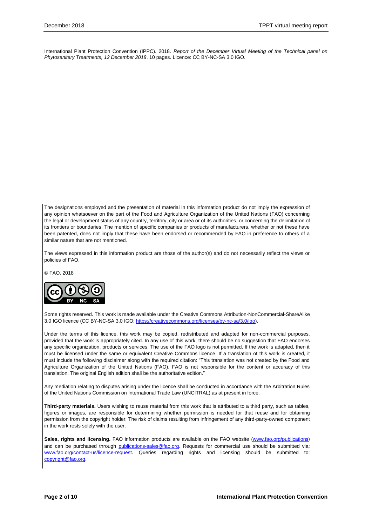International Plant Protection Convention (IPPC). 2018. *Report of the December Virtual Meeting of the Technical panel on Phytosanitary Treatments, 12 December 2018*. 10 pages. Licence: CC BY-NC-SA 3.0 IGO.

The designations employed and the presentation of material in this information product do not imply the expression of any opinion whatsoever on the part of the Food and Agriculture Organization of the United Nations (FAO) concerning the legal or development status of any country, territory, city or area or of its authorities, or concerning the delimitation of its frontiers or boundaries. The mention of specific companies or products of manufacturers, whether or not these have been patented, does not imply that these have been endorsed or recommended by FAO in preference to others of a similar nature that are not mentioned.

The views expressed in this information product are those of the author(s) and do not necessarily reflect the views or policies of FAO.

© FAO, 2018



Some rights reserved. This work is made available under the Creative Commons Attribution-NonCommercial-ShareAlike 3.0 IGO licence (CC BY-NC-SA 3.0 IGO[; https://creativecommons.org/licenses/by-nc-sa/3.0/igo\)](https://creativecommons.org/licenses/by-nc-sa/3.0/igo).

Under the terms of this licence, this work may be copied, redistributed and adapted for non-commercial purposes, provided that the work is appropriately cited. In any use of this work, there should be no suggestion that FAO endorses any specific organization, products or services. The use of the FAO logo is not permitted. If the work is adapted, then it must be licensed under the same or equivalent Creative Commons licence. If a translation of this work is created, it must include the following disclaimer along with the required citation: "This translation was not created by the Food and Agriculture Organization of the United Nations (FAO). FAO is not responsible for the content or accuracy of this translation. The original English edition shall be the authoritative edition."

Any mediation relating to disputes arising under the licence shall be conducted in accordance with the Arbitration Rules of the United Nations Commission on International Trade Law (UNCITRAL) as at present in force.

**Third-party materials.** Users wishing to reuse material from this work that is attributed to a third party, such as tables, figures or images, are responsible for determining whether permission is needed for that reuse and for obtaining permission from the copyright holder. The risk of claims resulting from infringement of any third-party-owned component in the work rests solely with the user.

Sales, rights and licensing. FAO information products are available on the FAO website [\(www.fao.org/publications](http://www.fao.org/publications)) and can be purchased through [publications-sales@fao.org.](mailto:publications-sales@fao.org) Requests for commercial use should be submitted via: [www.fao.org/contact-us/licence-request.](http://www.fao.org/contact-us/licence-request) Queries regarding rights and licensing should be submitted to: [copyright@fao.org.](mailto:copyright@fao.org)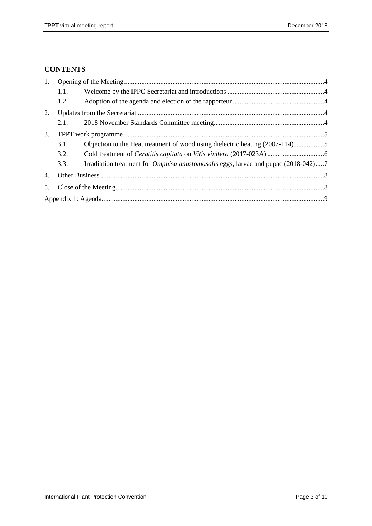# **CONTENTS**

| 1.               |      |                                                                                           |  |  |  |  |
|------------------|------|-------------------------------------------------------------------------------------------|--|--|--|--|
|                  | 1.1. |                                                                                           |  |  |  |  |
|                  | 1.2. |                                                                                           |  |  |  |  |
| 2.               |      |                                                                                           |  |  |  |  |
|                  | 2.1. |                                                                                           |  |  |  |  |
| $\mathfrak{Z}$ . |      |                                                                                           |  |  |  |  |
|                  | 3.1. | Objection to the Heat treatment of wood using dielectric heating (2007-114) 5             |  |  |  |  |
|                  | 3.2. |                                                                                           |  |  |  |  |
|                  | 3.3. | Irradiation treatment for <i>Omphisa anastomosalis</i> eggs, larvae and pupae (2018-042)7 |  |  |  |  |
| 4.               |      |                                                                                           |  |  |  |  |
| 5.               |      |                                                                                           |  |  |  |  |
|                  |      |                                                                                           |  |  |  |  |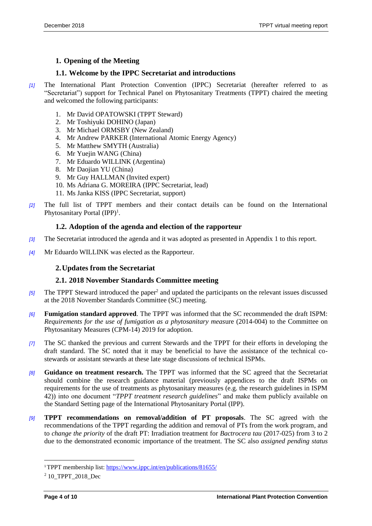# <span id="page-3-0"></span>**1. Opening of the Meeting**

#### <span id="page-3-1"></span>**1.1. Welcome by the IPPC Secretariat and introductions**

- *[1]* The International Plant Protection Convention (IPPC) Secretariat (hereafter referred to as "Secretariat") support for Technical Panel on Phytosanitary Treatments (TPPT) chaired the meeting and welcomed the following participants:
	- 1. Mr David OPATOWSKI (TPPT Steward)
	- 2. Mr Toshiyuki DOHINO (Japan)
	- 3. Mr Michael ORMSBY (New Zealand)
	- 4. Mr Andrew PARKER (International Atomic Energy Agency)
	- 5. Mr Matthew SMYTH (Australia)
	- 6. Mr Yuejin WANG (China)
	- 7. Mr Eduardo WILLINK (Argentina)
	- 8. Mr Daojian YU (China)
	- 9. Mr Guy HALLMAN (Invited expert)
	- 10. Ms Adriana G. MOREIRA (IPPC Secretariat, lead)
	- 11. Ms Janka KISS (IPPC Secretariat, support)
- *[2]* The full list of TPPT members and their contact details can be found on the International Phytosanitary Portal (IPP)<sup>1</sup>.

#### <span id="page-3-2"></span>**1.2. Adoption of the agenda and election of the rapporteur**

- *[3]* The Secretariat introduced the agenda and it was adopted as presented in Appendix 1 to this report.
- *[4]* Mr Eduardo WILLINK was elected as the Rapporteur.

## <span id="page-3-3"></span>**2.Updates from the Secretariat**

#### <span id="page-3-4"></span>**2.1. 2018 November Standards Committee meeting**

- [5] The TPPT Steward introduced the paper<sup>2</sup> and updated the participants on the relevant issues discussed at the 2018 November Standards Committee (SC) meeting.
- *[6]* **Fumigation standard approved**. The TPPT was informed that the SC recommended the draft ISPM: *Requirements for the use of fumigation as a phytosanitary meas*ure (2014-004) to the Committee on Phytosanitary Measures (CPM-14) 2019 for adoption.
- *[7]* The SC thanked the previous and current Stewards and the TPPT for their efforts in developing the draft standard. The SC noted that it may be beneficial to have the assistance of the technical costewards or assistant stewards at these late stage discussions of technical ISPMs.
- *[8]* **Guidance on treatment research.** The TPPT was informed that the SC agreed that the Secretariat should combine the research guidance material (previously appendices to the draft ISPMs on requirements for the use of treatments as phytosanitary measures (e.g. the research guidelines in ISPM 42)) into one document "*TPPT treatment research guidelines*" and make them publicly available on the Standard Setting page of the International Phytosanitary Portal (IPP).
- *[9]* **TPPT recommendations on removal/addition of PT proposals**. The SC agreed with the recommendations of the TPPT regarding the addition and removal of PTs from the work program, and to *change the priority* of the draft PT: Irradiation treatment for *Bactrocera tau* (2017-025) from 3 to 2 due to the demonstrated economic importance of the treatment. The SC also *assigned pending status*

<sup>1</sup>TPPT membership list:<https://www.ippc.int/en/publications/81655/>

<sup>&</sup>lt;sup>2</sup> 10 TPPT 2018 Dec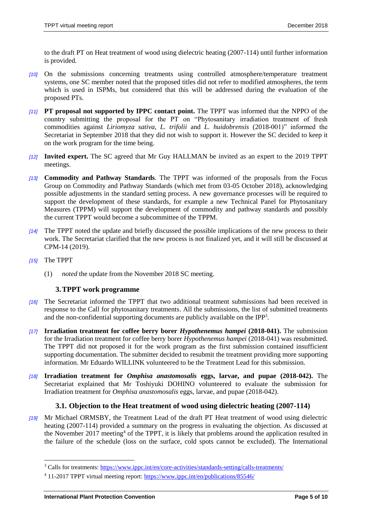to the draft PT on Heat treatment of wood using dielectric heating (2007-114) until further information is provided.

- *[10]* On the submissions concerning treatments using controlled atmosphere/temperature treatment systems, one SC member noted that the proposed titles did not refer to modified atmospheres, the term which is used in ISPMs, but considered that this will be addressed during the evaluation of the proposed PTs.
- *[11]* **PT proposal not supported by IPPC contact point.** The TPPT was informed that the NPPO of the country submitting the proposal for the PT on "Phytosanitary irradiation treatment of fresh commodities against *Liriomyza sativa, L. trifolii* and *L. huidobrensis* (2018-001)" informed the Secretariat in September 2018 that they did not wish to support it. However the SC decided to keep it on the work program for the time being.
- *[12]* **Invited expert.** The SC agreed that Mr Guy HALLMAN be invited as an expert to the 2019 TPPT meetings.
- *[13]* **Commodity and Pathway Standards**. The TPPT was informed of the proposals from the Focus Group on Commodity and Pathway Standards (which met from 03-05 October 2018), acknowledging possible adjustments in the standard setting process. A new governance processes will be required to support the development of these standards, for example a new Technical Panel for Phytosanitary Measures (TPPM) will support the development of commodity and pathway standards and possibly the current TPPT would become a subcommittee of the TPPM.
- *[14]* The TPPT noted the update and briefly discussed the possible implications of the new process to their work. The Secretariat clarified that the new process is not finalized yet, and it will still be discussed at CPM-14 (2019).
- *[15]* The TPPT

l

<span id="page-4-0"></span>(1) *noted* the update from the November 2018 SC meeting.

#### **3.TPPT work programme**

- *[16]* The Secretariat informed the TPPT that two additional treatment submissions had been received in response to the Call for phytosanitary treatments. All the submissions, the list of submitted treatments and the non-confidential supporting documents are publicly available on the IPP<sup>3</sup>.
- *[17]* **Irradiation treatment for coffee berry borer** *Hypothenemus hampei* **(2018-041).** The submission for the Irradiation treatment for coffee berry borer *Hypothenemus hampei* (2018-041) was resubmitted. The TPPT did not proposed it for the work program as the first submission contained insufficient supporting documentation. The submitter decided to resubmit the treatment providing more supporting information. Mr Eduardo WILLINK volunteered to be the Treatment Lead for this submission.
- *[18]* **Irradiation treatment for** *Omphisa anastomosalis* **eggs, larvae, and pupae (2018-042).** The Secretariat explained that Mr Toshiyuki DOHINO volunteered to evaluate the submission for Irradiation treatment for *Omphisa anastomosalis* eggs, larvae, and pupae (2018-042).

#### <span id="page-4-1"></span>**3.1. Objection to the Heat treatment of wood using dielectric heating (2007-114)**

*[19]* Mr Michael ORMSBY, the Treatment Lead of the draft PT Heat treatment of wood using dielectric heating (2007-114) provided a summary on the progress in evaluating the objection. As discussed at the November 2017 meeting<sup>4</sup> of the TPPT, it is likely that problems around the application resulted in the failure of the schedule (loss on the surface, cold spots cannot be excluded). The International

<sup>&</sup>lt;sup>3</sup> Calls for treatments:<https://www.ippc.int/en/core-activities/standards-setting/calls-treatments/>

<sup>4</sup> 11-2017 TPPT virtual meeting report:<https://www.ippc.int/en/publications/85546/>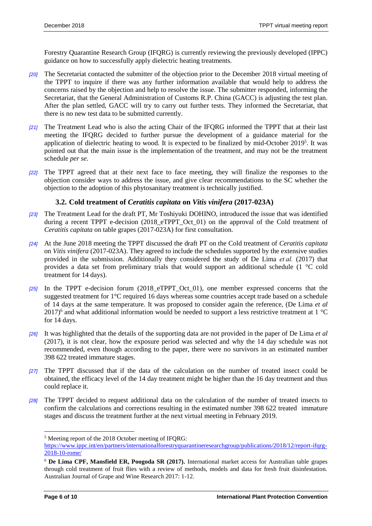Forestry Quarantine Research Group (IFQRG) is currently reviewing the previously developed (IPPC) guidance on how to successfully apply dielectric heating treatments.

- *[20]* The Secretariat contacted the submitter of the objection prior to the December 2018 virtual meeting of the TPPT to inquire if there was any further information available that would help to address the concerns raised by the objection and help to resolve the issue. The submitter responded, informing the Secretariat, that the General Administration of Customs R.P. China (GACC) is adjusting the test plan. After the plan settled, GACC will try to carry out further tests. They informed the Secretariat, that there is no new test data to be submitted currently.
- *[21]* The Treatment Lead who is also the acting Chair of the IFQRG informed the TPPT that at their last meeting the IFQRG decided to further pursue the development of a guidance material for the application of dielectric heating to wood. It is expected to be finalized by mid-October 2019<sup>5</sup>. It was pointed out that the main issue is the implementation of the treatment, and may not be the treatment schedule *per se.*
- *[22]* The TPPT agreed that at their next face to face meeting, they will finalize the responses to the objection consider ways to address the issue, and give clear recommendations to the SC whether the objection to the adoption of this phytosanitary treatment is technically justified.

#### <span id="page-5-0"></span>**3.2. Cold treatment of** *Ceratitis capitata* **on** *Vitis vinifera* **(2017-023A)**

- *[23]* The Treatment Lead for the draft PT, Mr Toshiyuki DOHINO, introduced the issue that was identified during a recent TPPT e-decision (2018\_eTPPT\_Oct\_01) on the approval of the Cold treatment of *Ceratitis capitata* on table grapes (2017-023A) for first consultation.
- *[24]* At the June 2018 meeting the TPPT discussed the draft PT on the Cold treatment of *Ceratitis capitata* on *Vitis vinifera* (2017-023A). They agreed to include the schedules supported by the extensive studies provided in the submission. Additionally they considered the study of De Lima *et al.* (2017) that provides a data set from preliminary trials that would support an additional schedule (1 °C cold treatment for 14 days).
- *[25]* In the TPPT e-decision forum (2018\_eTPPT\_Oct\_01), one member expressed concerns that the suggested treatment for 1°C required 16 days whereas some countries accept trade based on a schedule of 14 days at the same temperature. It was proposed to consider again the reference, (De Lima *et al*  2017)<sup>6</sup> and what additional information would be needed to support a less restrictive treatment at 1  $^{\circ}$ C for 14 days.
- *[26]* It was highlighted that the details of the supporting data are not provided in the paper of De Lima *et al*  (2017), it is not clear, how the exposure period was selected and why the 14 day schedule was not recommended, even though according to the paper, there were no survivors in an estimated number 398 622 treated immature stages.
- *[27]* The TPPT discussed that if the data of the calculation on the number of treated insect could be obtained, the efficacy level of the 14 day treatment might be higher than the 16 day treatment and thus could replace it.
- *[28]* The TPPT decided to request additional data on the calculation of the number of treated insects to confirm the calculations and corrections resulting in the estimated number 398 622 treated immature stages and discuss the treatment further at the next virtual meeting in February 2019.

<sup>5</sup> Meeting report of the 2018 October meeting of IFQRG:

[https://www.ippc.int/en/partners/internationalforestryquarantineresearchgroup/publications/2018/12/report-ifqrg-](https://www.ippc.int/en/partners/internationalforestryquarantineresearchgroup/publications/2018/12/report-ifqrg-2018-10-rome/)[2018-10-rome/](https://www.ippc.int/en/partners/internationalforestryquarantineresearchgroup/publications/2018/12/report-ifqrg-2018-10-rome/)

<sup>6</sup> **De Lima CPF, Mansfield ER, Poogoda SR (2017).** International market access for Australian table grapes through cold treatment of fruit flies with a review of methods, models and data for fresh fruit disinfestation. Australian Journal of Grape and Wine Research 2017: 1-12.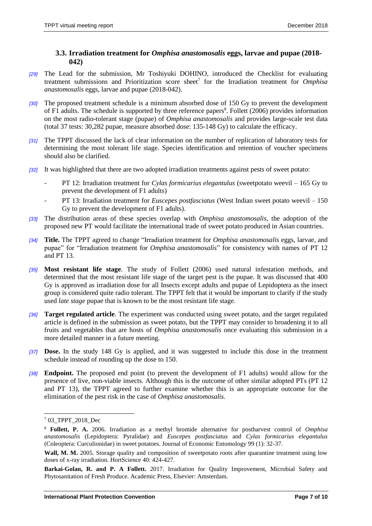#### <span id="page-6-0"></span>**3.3. Irradiation treatment for** *Omphisa anastomosalis* **eggs, larvae and pupae (2018- 042)**

- *[29]* The Lead for the submission, Mr Toshiyuki DOHINO, introduced the Checklist for evaluating treatment submissions and Prioritization score sheet<sup>7</sup> for the Irradiation treatment for *Omphisa anastomosalis* eggs, larvae and pupae (2018-042).
- *[30]* The proposed treatment schedule is a minimum absorbed dose of 150 Gy to prevent the development of F1 adults. The schedule is supported by three reference papers<sup>8</sup>. Follett (2006) provides information on the most radio-tolerant stage (pupae) of *Omphisa anastomosalis* and provides large-scale test data (total 37 tests: 30,282 pupae, measure absorbed dose: 135-148 Gy) to calculate the efficacy.
- *[31]* The TPPT discussed the lack of clear information on the number of replication of laboratory tests for determining the most tolerant life stage. Species identification and retention of voucher specimens should also be clarified.
- *[32]* It was highlighted that there are two adopted irradiation treatments against pests of sweet potato:
	- PT 12: Irradiation treatment for *Cylas formicarius elegantulus* (sweetpotato weevil 165 Gy to prevent the development of F1 adults)
	- PT 13: Irradiation treatment for *Euscepes postfasciatus* (West Indian sweet potato weevil 150 Gy to prevent the development of F1 adults).
- *[33]* The distribution areas of these species overlap with *Omphisa anastomosalis*, the adoption of the proposed new PT would facilitate the international trade of sweet potato produced in Asian countries.
- *[34]* **Title.** The TPPT agreed to change "Irradiation treatment for *Omphisa anastomosalis* eggs, larvae, and pupae" for "Irradiation treatment for *Omphisa anastomosalis*" for consistency with names of PT 12 and PT 13.
- *[35]* **Most resistant life stage**. The study of Follett (2006) used natural infestation methods, and determined that the most resistant life stage of the target pest is the pupae. It was discussed that 400 Gy is approved as irradiation dose for all Insects except adults and pupae of Lepidoptera as the insect group is considered quite radio tolerant. The TPPT felt that it would be important to clarify if the study used *late stage* pupae that is known to be the most resistant life stage.
- *[36]* **Target regulated article**. The experiment was conducted using sweet potato, and the target regulated article is defined in the submission as sweet potato, but the TPPT may consider to broadening it to all fruits and vegetables that are hosts of *Omphisa anastomosalis* once evaluating this submission in a more detailed manner in a future meeting.
- *[37]* **Dose.** In the study 148 Gy is applied, and it was suggested to include this dose in the treatment schedule instead of rounding up the dose to 150.
- *[38]* **Endpoint.** The proposed end point (to prevent the development of F1 adults) would allow for the presence of live, non-viable insects. Although this is the outcome of other similar adopted PTs (PT 12 and PT 13), the TPPT agreed to further examine whether this is an appropriate outcome for the elimination of the pest risk in the case of *Omphisa anastomosalis.*

<sup>7</sup> 03\_TPPT\_2018\_Dec

<sup>8</sup> **Follett, P. A.** 2006. Irradiation as a methyl bromide alternative for postharvest control of *Omphisa anastomosalis* (Lepidoptera: Pyralidae) and *Euscepes postfasciatus* and *Cylas formicarius elegantulus* (Coleoptera: Curculionidae) in sweet potatoes. Journal of Economic Entomology 99 (1): 32-37.

**Wall, M. M.** 2005. Storage quality and composition of sweetpotato roots after quarantine treatment using low doses of x-ray irradiation. HortScience 40: 424-427.

**Barkai-Golan, R. and P. A Follett.** 2017. Irradiation for Quality Improvement, Microbial Safety and Phytosanitation of Fresh Produce. Academic Press, Elsevier: Amsterdam.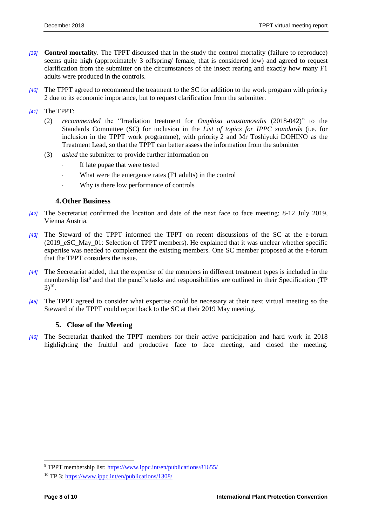- *[39]* **Control mortality**. The TPPT discussed that in the study the control mortality (failure to reproduce) seems quite high (approximately 3 offspring/ female, that is considered low) and agreed to request clarification from the submitter on the circumstances of the insect rearing and exactly how many F1 adults were produced in the controls.
- *[40]* The TPPT agreed to recommend the treatment to the SC for addition to the work program with priority 2 due to its economic importance, but to request clarification from the submitter.
- *[41]* The TPPT:
	- (2) *recommended* the "Irradiation treatment for *Omphisa anastomosalis* (2018-042)" to the Standards Committee (SC) for inclusion in the *List of topics for IPPC standards* (i.e. for inclusion in the TPPT work programme), with priority 2 and Mr Toshiyuki DOHINO as the Treatment Lead, so that the TPPT can better assess the information from the submitter
	- (3) *asked* the submitter to provide further information on
		- If late pupae that were tested
		- What were the emergence rates (F1 adults) in the control
		- Why is there low performance of controls

#### <span id="page-7-0"></span>**4.Other Business**

- *[42]* The Secretariat confirmed the location and date of the next face to face meeting: 8-12 July 2019, Vienna Austria.
- *[43]* The Steward of the TPPT informed the TPPT on recent discussions of the SC at the e-forum (2019\_eSC\_May\_01: Selection of TPPT members). He explained that it was unclear whether specific expertise was needed to complement the existing members. One SC member proposed at the e-forum that the TPPT considers the issue.
- *[44]* The Secretariat added, that the expertise of the members in different treatment types is included in the membership list<sup>9</sup> and that the panel's tasks and responsibilities are outlined in their Specification (TP  $3)^{10}$ .
- *[45]* The TPPT agreed to consider what expertise could be necessary at their next virtual meeting so the Steward of the TPPT could report back to the SC at their 2019 May meeting.

#### <span id="page-7-1"></span>**5. Close of the Meeting**

*[46]* The Secretariat thanked the TPPT members for their active participation and hard work in 2018 highlighting the fruitful and productive face to face meeting, and closed the meeting.

<sup>&</sup>lt;sup>9</sup> TPPT membership list:<https://www.ippc.int/en/publications/81655/>

<sup>10</sup> TP 3:<https://www.ippc.int/en/publications/1308/>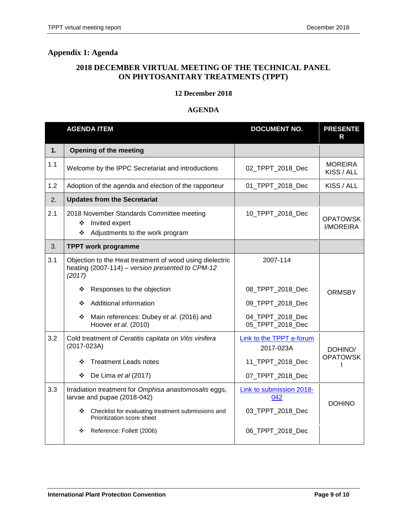# <span id="page-8-0"></span>**Appendix 1: Agenda**

### **2018 DECEMBER VIRTUAL MEETING OF THE TECHNICAL PANEL ON PHYTOSANITARY TREATMENTS (TPPT)**

#### **12 December 2018**

#### **AGENDA**

|     | <b>AGENDA ITEM</b>                                                                                                     | <b>DOCUMENT NO.</b>                          | <b>PRESENTE</b><br>R         |
|-----|------------------------------------------------------------------------------------------------------------------------|----------------------------------------------|------------------------------|
| 1.  | Opening of the meeting                                                                                                 |                                              |                              |
| 1.1 | Welcome by the IPPC Secretariat and introductions                                                                      | 02_TPPT_2018_Dec                             | <b>MOREIRA</b><br>KISS / ALL |
| 1.2 | Adoption of the agenda and election of the rapporteur                                                                  | 01 TPPT 2018 Dec                             | KISS / ALL                   |
| 2.  | <b>Updates from the Secretariat</b>                                                                                    |                                              |                              |
| 2.1 | 2018 November Standards Committee meeting<br>Invited expert<br>❖<br>Adjustments to the work program<br>❖               | 10_TPPT_2018_Dec                             | <b>OPATOWSK</b><br>I/MOREIRA |
| 3.  | <b>TPPT work programme</b>                                                                                             |                                              |                              |
| 3.1 | Objection to the Heat treatment of wood using dielectric<br>heating (2007-114) – version presented to CPM-12<br>(2017) | 2007-114                                     |                              |
|     | Responses to the objection<br>❖                                                                                        | 08_TPPT_2018_Dec                             | <b>ORMSBY</b>                |
|     | Additional information<br>❖                                                                                            | 09_TPPT_2018_Dec                             |                              |
|     | Main references: Dubey et al. (2016) and<br>❖<br>Hoover et al. (2010)                                                  | 04_TPPT_2018_Dec<br>05_TPPT_2018_Dec         |                              |
| 3.2 | Cold treatment of Ceratitis capitata on Vitis vinifera<br>(2017-023A)                                                  | <b>Link to the TPPT e-forum</b><br>2017-023A | DOHINO/                      |
|     | <b>Treatment Leads notes</b><br>❖                                                                                      | 11_TPPT_2018_Dec                             | <b>OPATOWSK</b>              |
|     | De Lima et al (2017)<br>❖                                                                                              | 07_TPPT_2018_Dec                             |                              |
| 3.3 | Irradiation treatment for Omphisa anastomosalis eggs,<br>larvae and pupae (2018-042)                                   | Link to submission 2018-<br>042              | <b>DOHINO</b>                |
|     | ❖<br>Checklist for evaluating treatment submissions and<br>Prioritization score sheet                                  | 03_TPPT_2018_Dec                             |                              |
|     | Reference: Follett (2006)<br>❖                                                                                         | 06 TPPT 2018 Dec                             |                              |